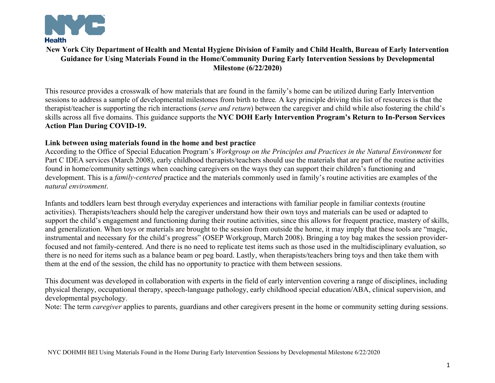

# **New York City Department of Health and Mental Hygiene Division of Family and Child Health, Bureau of Early Intervention Guidance for Using Materials Found in the Home/Community During Early Intervention Sessions by Developmental Milestone (6/22/2020)**

This resource provides a crosswalk of how materials that are found in the family's home can be utilized during Early Intervention sessions to address a sample of developmental milestones from birth to three*.* A key principle driving this list of resources is that the therapist/teacher is supporting the rich interactions (*serve and return*) between the caregiver and child while also fostering the child's skills across all five domains. This guidance supports the **NYC DOH Early Intervention Program's Return to In-Person Services Action Plan During COVID-19.** 

## **Link between using materials found in the home and best practice**

According to the Office of Special Education Program's *Workgroup on the Principles and Practices in the Natural Environment* for Part C IDEA services (March 2008), early childhood therapists/teachers should use the materials that are part of the routine activities found in home/community settings when coaching caregivers on the ways they can support their children's functioning and development. This is a *family-centered* practice and the materials commonly used in family's routine activities are examples of the *natural environment*.

Infants and toddlers learn best through everyday experiences and interactions with familiar people in familiar contexts (routine activities). Therapists/teachers should help the caregiver understand how their own toys and materials can be used or adapted to support the child's engagement and functioning during their routine activities, since this allows for frequent practice, mastery of skills, and generalization. When toys or materials are brought to the session from outside the home, it may imply that these tools are "magic, instrumental and necessary for the child's progress" (OSEP Workgroup, March 2008). Bringing a toy bag makes the session providerfocused and not family-centered. And there is no need to replicate test items such as those used in the multidisciplinary evaluation, so there is no need for items such as a balance beam or peg board. Lastly, when therapists/teachers bring toys and then take them with them at the end of the session, the child has no opportunity to practice with them between sessions.

This document was developed in collaboration with experts in the field of early intervention covering a range of disciplines, including physical therapy, occupational therapy, speech-language pathology, early childhood special education/ABA, clinical supervision, and developmental psychology.

Note: The term *caregiver* applies to parents, guardians and other caregivers present in the home or community setting during sessions.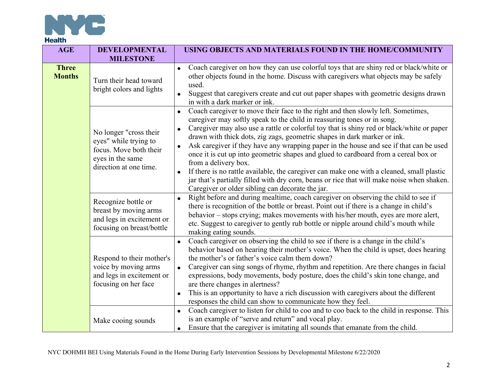

| <b>AGE</b>                    | <b>DEVELOPMENTAL</b><br><b>MILESTONE</b>                                                                                | USING OBJECTS AND MATERIALS FOUND IN THE HOME/COMMUNITY                                                                                                                                                                                                                                                                                                                                                                                                                                                                                                                                                                                                                                                                                                                                                                             |
|-------------------------------|-------------------------------------------------------------------------------------------------------------------------|-------------------------------------------------------------------------------------------------------------------------------------------------------------------------------------------------------------------------------------------------------------------------------------------------------------------------------------------------------------------------------------------------------------------------------------------------------------------------------------------------------------------------------------------------------------------------------------------------------------------------------------------------------------------------------------------------------------------------------------------------------------------------------------------------------------------------------------|
| <b>Three</b><br><b>Months</b> | Turn their head toward<br>bright colors and lights                                                                      | Coach caregiver on how they can use colorful toys that are shiny red or black/white or<br>$\bullet$<br>other objects found in the home. Discuss with caregivers what objects may be safely<br>used.<br>Suggest that caregivers create and cut out paper shapes with geometric designs drawn<br>in with a dark marker or ink.                                                                                                                                                                                                                                                                                                                                                                                                                                                                                                        |
|                               | No longer "cross their<br>eyes" while trying to<br>focus. Move both their<br>eyes in the same<br>direction at one time. | Coach caregiver to move their face to the right and then slowly left. Sometimes,<br>$\bullet$<br>caregiver may softly speak to the child in reassuring tones or in song.<br>Caregiver may also use a rattle or colorful toy that is shiny red or black/white or paper<br>$\bullet$<br>drawn with thick dots, zig zags, geometric shapes in dark marker or ink.<br>Ask caregiver if they have any wrapping paper in the house and see if that can be used<br>$\bullet$<br>once it is cut up into geometric shapes and glued to cardboard from a cereal box or<br>from a delivery box.<br>If there is no rattle available, the caregiver can make one with a cleaned, small plastic<br>jar that's partially filled with dry corn, beans or rice that will make noise when shaken.<br>Caregiver or older sibling can decorate the jar. |
|                               | Recognize bottle or<br>breast by moving arms<br>and legs in excitement or<br>focusing on breast/bottle                  | Right before and during mealtime, coach caregiver on observing the child to see if<br>$\bullet$<br>there is recognition of the bottle or breast. Point out if there is a change in child's<br>behavior – stops crying; makes movements with his/her mouth, eyes are more alert,<br>etc. Suggest to caregiver to gently rub bottle or nipple around child's mouth while<br>making eating sounds.                                                                                                                                                                                                                                                                                                                                                                                                                                     |
|                               | Respond to their mother's<br>voice by moving arms<br>and legs in excitement or<br>focusing on her face                  | Coach caregiver on observing the child to see if there is a change in the child's<br>$\bullet$<br>behavior based on hearing their mother's voice. When the child is upset, does hearing<br>the mother's or father's voice calm them down?<br>Caregiver can sing songs of rhyme, rhythm and repetition. Are there changes in facial<br>$\bullet$<br>expressions, body movements, body posture, does the child's skin tone change, and<br>are there changes in alertness?<br>This is an opportunity to have a rich discussion with caregivers about the different<br>$\bullet$<br>responses the child can show to communicate how they feel.                                                                                                                                                                                          |
|                               | Make cooing sounds                                                                                                      | Coach caregiver to listen for child to coo and to coo back to the child in response. This<br>$\bullet$<br>is an example of "serve and return" and vocal play.<br>Ensure that the caregiver is imitating all sounds that emanate from the child.<br>$\bullet$                                                                                                                                                                                                                                                                                                                                                                                                                                                                                                                                                                        |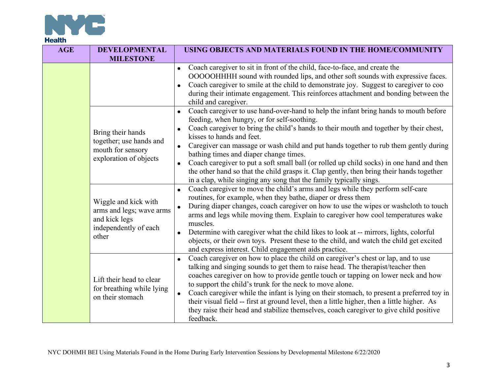

| <b>AGE</b> | <b>DEVELOPMENTAL</b><br><b>MILESTONE</b>                                                            | USING OBJECTS AND MATERIALS FOUND IN THE HOME/COMMUNITY                                                                                                                                                                                                                                                                                                                                                                                                                                                                                                                                                                                                                                           |
|------------|-----------------------------------------------------------------------------------------------------|---------------------------------------------------------------------------------------------------------------------------------------------------------------------------------------------------------------------------------------------------------------------------------------------------------------------------------------------------------------------------------------------------------------------------------------------------------------------------------------------------------------------------------------------------------------------------------------------------------------------------------------------------------------------------------------------------|
|            |                                                                                                     | Coach caregiver to sit in front of the child, face-to-face, and create the<br>OOOOOHHHH sound with rounded lips, and other soft sounds with expressive faces.<br>Coach caregiver to smile at the child to demonstrate joy. Suggest to caregiver to coo<br>during their intimate engagement. This reinforces attachment and bonding between the<br>child and caregiver.                                                                                                                                                                                                                                                                                                                            |
|            | Bring their hands<br>together; use hands and<br>mouth for sensory<br>exploration of objects         | Coach caregiver to use hand-over-hand to help the infant bring hands to mouth before<br>$\bullet$<br>feeding, when hungry, or for self-soothing.<br>Coach caregiver to bring the child's hands to their mouth and together by their chest,<br>kisses to hands and feet.<br>Caregiver can massage or wash child and put hands together to rub them gently during<br>$\bullet$<br>bathing times and diaper change times.<br>Coach caregiver to put a soft small ball (or rolled up child socks) in one hand and then<br>$\bullet$<br>the other hand so that the child grasps it. Clap gently, then bring their hands together<br>in a clap, while singing any song that the family typically sings. |
|            | Wiggle and kick with<br>arms and legs; wave arms<br>and kick legs<br>independently of each<br>other | Coach caregiver to move the child's arms and legs while they perform self-care<br>$\bullet$<br>routines, for example, when they bathe, diaper or dress them<br>During diaper changes, coach caregiver on how to use the wipes or washcloth to touch<br>$\bullet$<br>arms and legs while moving them. Explain to caregiver how cool temperatures wake<br>muscles.<br>Determine with caregiver what the child likes to look at -- mirrors, lights, colorful<br>objects, or their own toys. Present these to the child, and watch the child get excited<br>and express interest. Child engagement aids practice.                                                                                     |
|            | Lift their head to clear<br>for breathing while lying<br>on their stomach                           | Coach caregiver on how to place the child on caregiver's chest or lap, and to use<br>$\bullet$<br>talking and singing sounds to get them to raise head. The therapist/teacher then<br>coaches caregiver on how to provide gentle touch or tapping on lower neck and how<br>to support the child's trunk for the neck to move alone.<br>Coach caregiver while the infant is lying on their stomach, to present a preferred toy in<br>their visual field -- first at ground level, then a little higher, then a little higher. As<br>they raise their head and stabilize themselves, coach caregiver to give child positive<br>feedback.                                                            |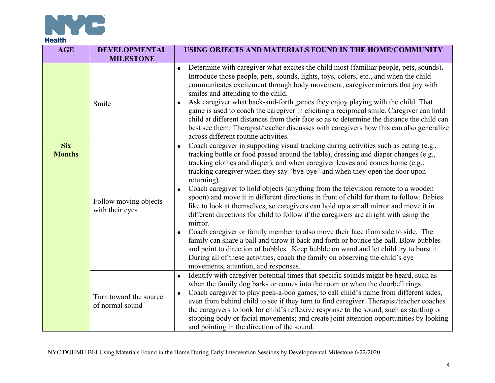

| <b>AGE</b>                  | <b>DEVELOPMENTAL</b><br><b>MILESTONE</b>  | USING OBJECTS AND MATERIALS FOUND IN THE HOME/COMMUNITY                                                                                                                                                                                                                                                                                                                                                                                                                                                                                                                                                                                                                                                                                                                                                                                                                                                                                                                                                                                                                                                                                          |
|-----------------------------|-------------------------------------------|--------------------------------------------------------------------------------------------------------------------------------------------------------------------------------------------------------------------------------------------------------------------------------------------------------------------------------------------------------------------------------------------------------------------------------------------------------------------------------------------------------------------------------------------------------------------------------------------------------------------------------------------------------------------------------------------------------------------------------------------------------------------------------------------------------------------------------------------------------------------------------------------------------------------------------------------------------------------------------------------------------------------------------------------------------------------------------------------------------------------------------------------------|
|                             | Smile                                     | Determine with caregiver what excites the child most (familiar people, pets, sounds).<br>$\bullet$<br>Introduce those people, pets, sounds, lights, toys, colors, etc., and when the child<br>communicates excitement through body movement, caregiver mirrors that joy with<br>smiles and attending to the child.<br>Ask caregiver what back-and-forth games they enjoy playing with the child. That<br>game is used to coach the caregiver in eliciting a reciprocal smile. Caregiver can hold<br>child at different distances from their face so as to determine the distance the child can<br>best see them. Therapist/teacher discusses with caregivers how this can also generalize<br>across different routine activities.                                                                                                                                                                                                                                                                                                                                                                                                                |
| <b>Six</b><br><b>Months</b> | Follow moving objects<br>with their eyes  | Coach caregiver in supporting visual tracking during activities such as eating (e.g.,<br>tracking bottle or food passed around the table), dressing and diaper changes (e.g.,<br>tracking clothes and diaper), and when caregiver leaves and comes home (e.g.,<br>tracking caregiver when they say "bye-bye" and when they open the door upon<br>returning).<br>Coach caregiver to hold objects (anything from the television remote to a wooden<br>$\bullet$<br>spoon) and move it in different directions in front of child for them to follow. Babies<br>like to look at themselves, so caregivers can hold up a small mirror and move it in<br>different directions for child to follow if the caregivers are alright with using the<br>mirror.<br>Coach caregiver or family member to also move their face from side to side. The<br>family can share a ball and throw it back and forth or bounce the ball. Blow bubbles<br>and point to direction of bubbles. Keep bubble on wand and let child try to burst it.<br>During all of these activities, coach the family on observing the child's eye<br>movements, attention, and responses. |
|                             | Turn toward the source<br>of normal sound | Identify with caregiver potential times that specific sounds might be heard, such as<br>when the family dog barks or comes into the room or when the doorbell rings.<br>Coach caregiver to play peek-a-boo games, to call child's name from different sides,<br>$\bullet$<br>even from behind child to see if they turn to find caregiver. Therapist/teacher coaches<br>the caregivers to look for child's reflexive response to the sound, such as startling or<br>stopping body or facial movements; and create joint attention opportunities by looking<br>and pointing in the direction of the sound.                                                                                                                                                                                                                                                                                                                                                                                                                                                                                                                                        |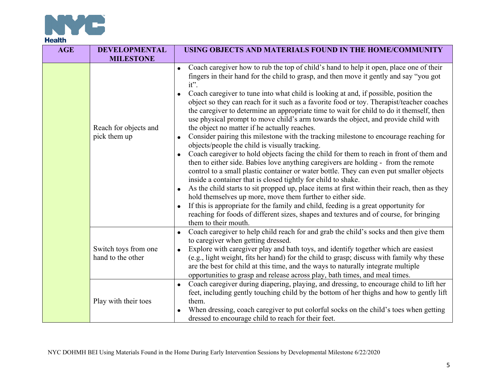

| <b>AGE</b> | <b>DEVELOPMENTAL</b><br><b>MILESTONE</b>  | USING OBJECTS AND MATERIALS FOUND IN THE HOME/COMMUNITY                                                                                                                                                                                                                                                                                                                                                                                                                                                                                                                                                                                                                                                                                                                                                                                                                                                                                                                                                                                                                                                                                                                                                                                                                                                                                                                                                                                                                                          |
|------------|-------------------------------------------|--------------------------------------------------------------------------------------------------------------------------------------------------------------------------------------------------------------------------------------------------------------------------------------------------------------------------------------------------------------------------------------------------------------------------------------------------------------------------------------------------------------------------------------------------------------------------------------------------------------------------------------------------------------------------------------------------------------------------------------------------------------------------------------------------------------------------------------------------------------------------------------------------------------------------------------------------------------------------------------------------------------------------------------------------------------------------------------------------------------------------------------------------------------------------------------------------------------------------------------------------------------------------------------------------------------------------------------------------------------------------------------------------------------------------------------------------------------------------------------------------|
|            | Reach for objects and<br>pick them up     | • Coach caregiver how to rub the top of child's hand to help it open, place one of their<br>fingers in their hand for the child to grasp, and then move it gently and say "you got<br>$it$ ".<br>Coach caregiver to tune into what child is looking at and, if possible, position the<br>object so they can reach for it such as a favorite food or toy. Therapist/teacher coaches<br>the caregiver to determine an appropriate time to wait for child to do it themself, then<br>use physical prompt to move child's arm towards the object, and provide child with<br>the object no matter if he actually reaches.<br>Consider pairing this milestone with the tracking milestone to encourage reaching for<br>$\bullet$<br>objects/people the child is visually tracking.<br>Coach caregiver to hold objects facing the child for them to reach in front of them and<br>then to either side. Babies love anything caregivers are holding - from the remote<br>control to a small plastic container or water bottle. They can even put smaller objects<br>inside a container that is closed tightly for child to shake.<br>As the child starts to sit propped up, place items at first within their reach, then as they<br>hold themselves up more, move them further to either side.<br>If this is appropriate for the family and child, feeding is a great opportunity for<br>reaching for foods of different sizes, shapes and textures and of course, for bringing<br>them to their mouth. |
|            | Switch toys from one<br>hand to the other | Coach caregiver to help child reach for and grab the child's socks and then give them<br>to caregiver when getting dressed.<br>Explore with caregiver play and bath toys, and identify together which are easiest<br>(e.g., light weight, fits her hand) for the child to grasp; discuss with family why these<br>are the best for child at this time, and the ways to naturally integrate multiple<br>opportunities to grasp and release across play, bath times, and meal times.                                                                                                                                                                                                                                                                                                                                                                                                                                                                                                                                                                                                                                                                                                                                                                                                                                                                                                                                                                                                               |
|            | Play with their toes                      | Coach caregiver during diapering, playing, and dressing, to encourage child to lift her<br>$\bullet$<br>feet, including gently touching child by the bottom of her thighs and how to gently lift<br>them.<br>When dressing, coach caregiver to put colorful socks on the child's toes when getting<br>dressed to encourage child to reach for their feet.                                                                                                                                                                                                                                                                                                                                                                                                                                                                                                                                                                                                                                                                                                                                                                                                                                                                                                                                                                                                                                                                                                                                        |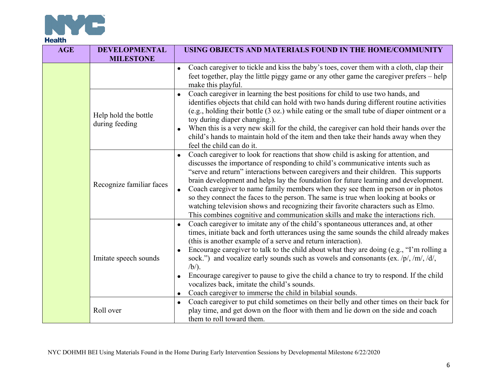

| <b>AGE</b> | <b>DEVELOPMENTAL</b><br><b>MILESTONE</b> | USING OBJECTS AND MATERIALS FOUND IN THE HOME/COMMUNITY                                                                                                                                                                                                                                                                                                                                                                                                                                                                                                                                                                                                                                                 |
|------------|------------------------------------------|---------------------------------------------------------------------------------------------------------------------------------------------------------------------------------------------------------------------------------------------------------------------------------------------------------------------------------------------------------------------------------------------------------------------------------------------------------------------------------------------------------------------------------------------------------------------------------------------------------------------------------------------------------------------------------------------------------|
|            |                                          | Coach caregiver to tickle and kiss the baby's toes, cover them with a cloth, clap their<br>$\bullet$<br>feet together, play the little piggy game or any other game the caregiver prefers - help<br>make this playful.                                                                                                                                                                                                                                                                                                                                                                                                                                                                                  |
|            | Help hold the bottle<br>during feeding   | Coach caregiver in learning the best positions for child to use two hands, and<br>$\bullet$<br>identifies objects that child can hold with two hands during different routine activities<br>(e.g., holding their bottle (3 oz.) while eating or the small tube of diaper ointment or a<br>toy during diaper changing.).<br>When this is a very new skill for the child, the caregiver can hold their hands over the<br>child's hands to maintain hold of the item and then take their hands away when they<br>feel the child can do it.                                                                                                                                                                 |
|            | Recognize familiar faces                 | Coach caregiver to look for reactions that show child is asking for attention, and<br>discusses the importance of responding to child's communicative intents such as<br>"serve and return" interactions between caregivers and their children. This supports<br>brain development and helps lay the foundation for future learning and development.<br>Coach caregiver to name family members when they see them in person or in photos<br>so they connect the faces to the person. The same is true when looking at books or<br>watching television shows and recognizing their favorite characters such as Elmo.<br>This combines cognitive and communication skills and make the interactions rich. |
|            | Imitate speech sounds                    | Coach caregiver to imitate any of the child's spontaneous utterances and, at other<br>$\bullet$<br>times, initiate back and forth utterances using the same sounds the child already makes<br>(this is another example of a serve and return interaction).<br>Encourage caregiver to talk to the child about what they are doing (e.g., "I'm rolling a<br>sock.") and vocalize early sounds such as vowels and consonants (ex. $/p/$ , /m/, /d/,<br>$/b/$ ).<br>Encourage caregiver to pause to give the child a chance to try to respond. If the child<br>vocalizes back, imitate the child's sounds.<br>Coach caregiver to immerse the child in bilabial sounds.<br>$\bullet$                         |
|            | Roll over                                | Coach caregiver to put child sometimes on their belly and other times on their back for<br>$\bullet$<br>play time, and get down on the floor with them and lie down on the side and coach<br>them to roll toward them.                                                                                                                                                                                                                                                                                                                                                                                                                                                                                  |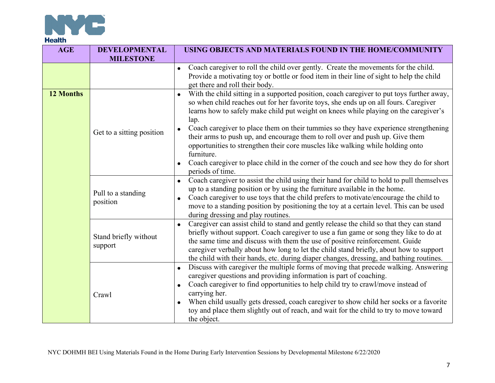

| <b>AGE</b> | <b>DEVELOPMENTAL</b><br><b>MILESTONE</b> | USING OBJECTS AND MATERIALS FOUND IN THE HOME/COMMUNITY                                                                                                                                                                                                                                                                                                                                                                                                                                                                                                                                                                                                                                                          |
|------------|------------------------------------------|------------------------------------------------------------------------------------------------------------------------------------------------------------------------------------------------------------------------------------------------------------------------------------------------------------------------------------------------------------------------------------------------------------------------------------------------------------------------------------------------------------------------------------------------------------------------------------------------------------------------------------------------------------------------------------------------------------------|
|            |                                          | Coach caregiver to roll the child over gently. Create the movements for the child.<br>$\bullet$<br>Provide a motivating toy or bottle or food item in their line of sight to help the child<br>get there and roll their body.                                                                                                                                                                                                                                                                                                                                                                                                                                                                                    |
| 12 Months  | Get to a sitting position                | With the child sitting in a supported position, coach caregiver to put toys further away,<br>$\bullet$<br>so when child reaches out for her favorite toys, she ends up on all fours. Caregiver<br>learns how to safely make child put weight on knees while playing on the caregiver's<br>lap.<br>Coach caregiver to place them on their tummies so they have experience strengthening<br>$\bullet$<br>their arms to push up, and encourage them to roll over and push up. Give them<br>opportunities to strengthen their core muscles like walking while holding onto<br>furniture.<br>Coach caregiver to place child in the corner of the couch and see how they do for short<br>$\bullet$<br>periods of time. |
|            | Pull to a standing<br>position           | Coach caregiver to assist the child using their hand for child to hold to pull themselves<br>up to a standing position or by using the furniture available in the home.<br>Coach caregiver to use toys that the child prefers to motivate/encourage the child to<br>move to a standing position by positioning the toy at a certain level. This can be used<br>during dressing and play routines.                                                                                                                                                                                                                                                                                                                |
|            | Stand briefly without<br>support         | Caregiver can assist child to stand and gently release the child so that they can stand<br>$\bullet$<br>briefly without support. Coach caregiver to use a fun game or song they like to do at<br>the same time and discuss with them the use of positive reinforcement. Guide<br>caregiver verbally about how long to let the child stand briefly, about how to support<br>the child with their hands, etc. during diaper changes, dressing, and bathing routines.                                                                                                                                                                                                                                               |
|            | Crawl                                    | Discuss with caregiver the multiple forms of moving that precede walking. Answering<br>$\bullet$<br>caregiver questions and providing information is part of coaching.<br>Coach caregiver to find opportunities to help child try to crawl/move instead of<br>$\bullet$<br>carrying her.<br>When child usually gets dressed, coach caregiver to show child her socks or a favorite<br>$\bullet$<br>toy and place them slightly out of reach, and wait for the child to try to move toward<br>the object.                                                                                                                                                                                                         |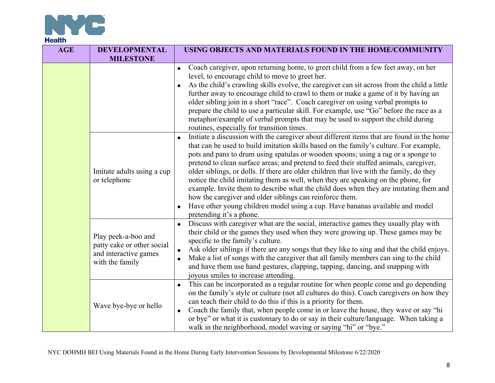

| <b>AGE</b>                                                                                                                                                                                                                                                                                                                                                                                                  | <b>DEVELOPMENTAL</b><br><b>MILESTONE</b>                                                                                                                                                                                                                                                                                                                                                                                                           | USING OBJECTS AND MATERIALS FOUND IN THE HOME/COMMUNITY                                                                                                                                                                                                                                                                                                                                                                                                                                                                                                                                                                                                                                                                                                                                                              |
|-------------------------------------------------------------------------------------------------------------------------------------------------------------------------------------------------------------------------------------------------------------------------------------------------------------------------------------------------------------------------------------------------------------|----------------------------------------------------------------------------------------------------------------------------------------------------------------------------------------------------------------------------------------------------------------------------------------------------------------------------------------------------------------------------------------------------------------------------------------------------|----------------------------------------------------------------------------------------------------------------------------------------------------------------------------------------------------------------------------------------------------------------------------------------------------------------------------------------------------------------------------------------------------------------------------------------------------------------------------------------------------------------------------------------------------------------------------------------------------------------------------------------------------------------------------------------------------------------------------------------------------------------------------------------------------------------------|
|                                                                                                                                                                                                                                                                                                                                                                                                             |                                                                                                                                                                                                                                                                                                                                                                                                                                                    | Coach caregiver, upon returning home, to greet child from a few feet away, on her<br>$\bullet$<br>level, to encourage child to move to greet her.<br>As the child's crawling skills evolve, the caregiver can sit across from the child a little<br>further away to encourage child to crawl to them or make a game of it by having an<br>older sibling join in a short "race". Coach caregiver on using verbal prompts to<br>prepare the child to use a particular skill. For example, use "Go" before the race as a<br>metaphor/example of verbal prompts that may be used to support the child during<br>routines, especially for transition times.                                                                                                                                                               |
|                                                                                                                                                                                                                                                                                                                                                                                                             | Imitate adults using a cup<br>or telephone                                                                                                                                                                                                                                                                                                                                                                                                         | Initiate a discussion with the caregiver about different items that are found in the home<br>that can be used to build imitation skills based on the family's culture. For example,<br>pots and pans to drum using spatulas or wooden spoons; using a rag or a sponge to<br>pretend to clean surface areas; and pretend to feed their stuffed animals, caregiver,<br>older siblings, or dolls. If there are older children that live with the family, do they<br>notice the child imitating them as well, when they are speaking on the phone, for<br>example. Invite them to describe what the child does when they are imitating them and<br>how the caregiver and older siblings can reinforce them.<br>Have other young children model using a cup. Have bananas available and model<br>pretending it's a phone. |
| $\bullet$<br>Play peek-a-boo and<br>specific to the family's culture.<br>patty cake or other social<br>$\bullet$<br>and interactive games<br>$\bullet$<br>with the family<br>joyous smiles to increase attending.<br>$\bullet$<br>can teach their child to do this if this is a priority for them.<br>Wave bye-bye or hello<br>$\bullet$<br>walk in the neighborhood, model waving or saying "hi" or "bye." | Discuss with caregiver what are the social, interactive games they usually play with<br>their child or the games they used when they were growing up. These games may be<br>Ask older siblings if there are any songs that they like to sing and that the child enjoys.<br>Make a list of songs with the caregiver that all family members can sing to the child<br>and have them use hand gestures, clapping, tapping, dancing, and snapping with |                                                                                                                                                                                                                                                                                                                                                                                                                                                                                                                                                                                                                                                                                                                                                                                                                      |
|                                                                                                                                                                                                                                                                                                                                                                                                             |                                                                                                                                                                                                                                                                                                                                                                                                                                                    | This can be incorporated as a regular routine for when people come and go depending<br>on the family's style or culture (not all cultures do this). Coach caregivers on how they<br>Coach the family that, when people come in or leave the house, they wave or say "hi<br>or bye" or what it is customary to do or say in their culture/language. When taking a                                                                                                                                                                                                                                                                                                                                                                                                                                                     |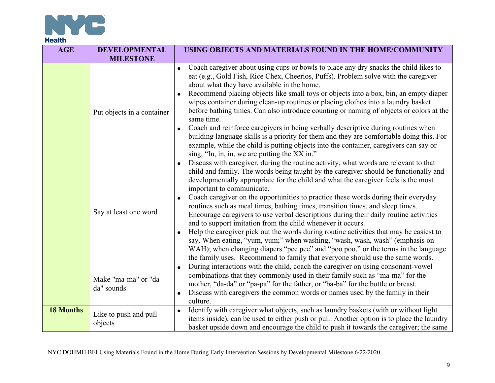

| <b>AGE</b>       | <b>DEVELOPMENTAL</b><br><b>MILESTONE</b> | USING OBJECTS AND MATERIALS FOUND IN THE HOME/COMMUNITY                                                                                                                                                                                                                                                                                                                                                                                                                                                                                                                                                                                                                                                                                                                                                                                                                                                                                                                        |
|------------------|------------------------------------------|--------------------------------------------------------------------------------------------------------------------------------------------------------------------------------------------------------------------------------------------------------------------------------------------------------------------------------------------------------------------------------------------------------------------------------------------------------------------------------------------------------------------------------------------------------------------------------------------------------------------------------------------------------------------------------------------------------------------------------------------------------------------------------------------------------------------------------------------------------------------------------------------------------------------------------------------------------------------------------|
|                  | Put objects in a container               | Coach caregiver about using cups or bowls to place any dry snacks the child likes to<br>eat (e.g., Gold Fish, Rice Chex, Cheerios, Puffs). Problem solve with the caregiver<br>about what they have available in the home.<br>Recommend placing objects like small toys or objects into a box, bin, an empty diaper<br>wipes container during clean-up routines or placing clothes into a laundry basket<br>before bathing times. Can also introduce counting or naming of objects or colors at the<br>same time.<br>Coach and reinforce caregivers in being verbally descriptive during routines when<br>$\bullet$<br>building language skills is a priority for them and they are comfortable doing this. For<br>example, while the child is putting objects into the container, caregivers can say or<br>sing, "In, in, in, we are putting the XX in."                                                                                                                      |
|                  | Say at least one word                    | Discuss with caregiver, during the routine activity, what words are relevant to that<br>child and family. The words being taught by the caregiver should be functionally and<br>developmentally appropriate for the child and what the caregiver feels is the most<br>important to communicate.<br>Coach caregiver on the opportunities to practice these words during their everyday<br>routines such as meal times, bathing times, transition times, and sleep times.<br>Encourage caregivers to use verbal descriptions during their daily routine activities<br>and to support imitation from the child whenever it occurs.<br>Help the caregiver pick out the words during routine activities that may be easiest to<br>say. When eating, "yum, yum;" when washing, "wash, wash, wash" (emphasis on<br>WAH); when changing diapers "pee pee" and "poo poo," or the terms in the language<br>the family uses. Recommend to family that everyone should use the same words. |
|                  | Make "ma-ma" or "da-<br>da" sounds       | During interactions with the child, coach the caregiver on using consonant-vowel<br>$\bullet$<br>combinations that they commonly used in their family such as "ma-ma" for the<br>mother, "da-da" or "pa-pa" for the father, or "ba-ba" for the bottle or breast.<br>Discuss with caregivers the common words or names used by the family in their<br>$\bullet$<br>culture.                                                                                                                                                                                                                                                                                                                                                                                                                                                                                                                                                                                                     |
| <b>18 Months</b> | Like to push and pull<br>objects         | Identify with caregiver what objects, such as laundry baskets (with or without light<br>$\bullet$<br>items inside), can be used to either push or pull. Another option is to place the laundry<br>basket upside down and encourage the child to push it towards the caregiver; the same                                                                                                                                                                                                                                                                                                                                                                                                                                                                                                                                                                                                                                                                                        |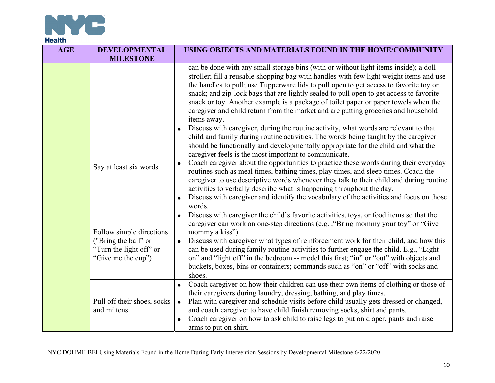

| <b>AGE</b> | <b>DEVELOPMENTAL</b><br><b>MILESTONE</b>                                                                                                                                                        | USING OBJECTS AND MATERIALS FOUND IN THE HOME/COMMUNITY                                                                                                                                                                                                                                                                                                                                                                                                                                                                                                                                                                                         |
|------------|-------------------------------------------------------------------------------------------------------------------------------------------------------------------------------------------------|-------------------------------------------------------------------------------------------------------------------------------------------------------------------------------------------------------------------------------------------------------------------------------------------------------------------------------------------------------------------------------------------------------------------------------------------------------------------------------------------------------------------------------------------------------------------------------------------------------------------------------------------------|
|            |                                                                                                                                                                                                 | can be done with any small storage bins (with or without light items inside); a doll<br>stroller; fill a reusable shopping bag with handles with few light weight items and use<br>the handles to pull; use Tupperware lids to pull open to get access to favorite toy or<br>snack; and zip-lock bags that are lightly sealed to pull open to get access to favorite<br>snack or toy. Another example is a package of toilet paper or paper towels when the<br>caregiver and child return from the market and are putting groceries and household<br>items away.                                                                                |
|            | $\bullet$<br>caregiver feels is the most important to communicate.<br>$\bullet$<br>Say at least six words<br>activities to verbally describe what is happening throughout the day.<br>$\bullet$ | Discuss with caregiver, during the routine activity, what words are relevant to that<br>child and family during routine activities. The words being taught by the caregiver<br>should be functionally and developmentally appropriate for the child and what the<br>Coach caregiver about the opportunities to practice these words during their everyday<br>routines such as meal times, bathing times, play times, and sleep times. Coach the<br>caregiver to use descriptive words whenever they talk to their child and during routine<br>Discuss with caregiver and identify the vocabulary of the activities and focus on those<br>words. |
|            | Follow simple directions<br>("Bring the ball" or<br>"Turn the light off" or<br>"Give me the cup")                                                                                               | Discuss with caregiver the child's favorite activities, toys, or food items so that the<br>caregiver can work on one-step directions (e.g., "Bring mommy your toy" or "Give<br>mommy a kiss").<br>Discuss with caregiver what types of reinforcement work for their child, and how this<br>$\bullet$<br>can be used during family routine activities to further engage the child. E.g., "Light"<br>on" and "light off" in the bedroom -- model this first; "in" or "out" with objects and<br>buckets, boxes, bins or containers; commands such as "on" or "off" with socks and<br>shoes.                                                        |
|            | Pull off their shoes, socks<br>and mittens                                                                                                                                                      | Coach caregiver on how their children can use their own items of clothing or those of<br>$\bullet$<br>their caregivers during laundry, dressing, bathing, and play times.<br>Plan with caregiver and schedule visits before child usually gets dressed or changed,<br>$\bullet$<br>and coach caregiver to have child finish removing socks, shirt and pants.<br>Coach caregiver on how to ask child to raise legs to put on diaper, pants and raise<br>$\bullet$<br>arms to put on shirt.                                                                                                                                                       |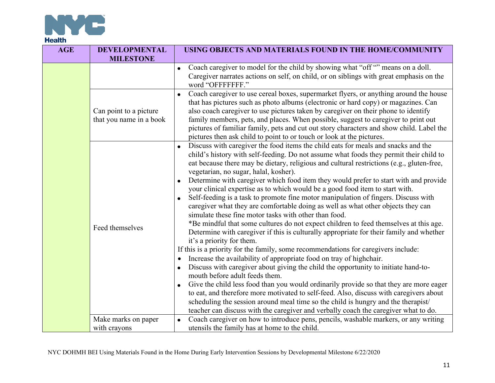

| <b>AGE</b> | <b>DEVELOPMENTAL</b><br><b>MILESTONE</b>          | USING OBJECTS AND MATERIALS FOUND IN THE HOME/COMMUNITY                                                                                                                                                                                                                                                                                                                                                                                                                                                                                                                                                                                                                                                                                                                                                                                                                                                                                                                                                                                                                                                                                                                                                                                                                                                                                                                                                                                                                                                                                                                                                         |
|------------|---------------------------------------------------|-----------------------------------------------------------------------------------------------------------------------------------------------------------------------------------------------------------------------------------------------------------------------------------------------------------------------------------------------------------------------------------------------------------------------------------------------------------------------------------------------------------------------------------------------------------------------------------------------------------------------------------------------------------------------------------------------------------------------------------------------------------------------------------------------------------------------------------------------------------------------------------------------------------------------------------------------------------------------------------------------------------------------------------------------------------------------------------------------------------------------------------------------------------------------------------------------------------------------------------------------------------------------------------------------------------------------------------------------------------------------------------------------------------------------------------------------------------------------------------------------------------------------------------------------------------------------------------------------------------------|
|            |                                                   | Coach caregiver to model for the child by showing what "off "" means on a doll.<br>$\bullet$<br>Caregiver narrates actions on self, on child, or on siblings with great emphasis on the<br>word "OFFFFFFF."                                                                                                                                                                                                                                                                                                                                                                                                                                                                                                                                                                                                                                                                                                                                                                                                                                                                                                                                                                                                                                                                                                                                                                                                                                                                                                                                                                                                     |
|            | Can point to a picture<br>that you name in a book | Coach caregiver to use cereal boxes, supermarket flyers, or anything around the house<br>$\bullet$<br>that has pictures such as photo albums (electronic or hard copy) or magazines. Can<br>also coach caregiver to use pictures taken by caregiver on their phone to identify<br>family members, pets, and places. When possible, suggest to caregiver to print out<br>pictures of familiar family, pets and cut out story characters and show child. Label the<br>pictures then ask child to point to or touch or look at the pictures.                                                                                                                                                                                                                                                                                                                                                                                                                                                                                                                                                                                                                                                                                                                                                                                                                                                                                                                                                                                                                                                                       |
|            | Feed themselves                                   | Discuss with caregiver the food items the child eats for meals and snacks and the<br>child's history with self-feeding. Do not assume what foods they permit their child to<br>eat because there may be dietary, religious and cultural restrictions (e.g., gluten-free,<br>vegetarian, no sugar, halal, kosher).<br>Determine with caregiver which food item they would prefer to start with and provide<br>your clinical expertise as to which would be a good food item to start with.<br>Self-feeding is a task to promote fine motor manipulation of fingers. Discuss with<br>$\bullet$<br>caregiver what they are comfortable doing as well as what other objects they can<br>simulate these fine motor tasks with other than food.<br>*Be mindful that some cultures do not expect children to feed themselves at this age.<br>Determine with caregiver if this is culturally appropriate for their family and whether<br>it's a priority for them.<br>If this is a priority for the family, some recommendations for caregivers include:<br>Increase the availability of appropriate food on tray of highchair.<br>Discuss with caregiver about giving the child the opportunity to initiate hand-to-<br>mouth before adult feeds them.<br>Give the child less food than you would ordinarily provide so that they are more eager<br>to eat, and therefore more motivated to self-feed. Also, discuss with caregivers about<br>scheduling the session around meal time so the child is hungry and the therapist/<br>teacher can discuss with the caregiver and verbally coach the caregiver what to do. |
|            | Make marks on paper                               | Coach caregiver on how to introduce pens, pencils, washable markers, or any writing<br>$\bullet$                                                                                                                                                                                                                                                                                                                                                                                                                                                                                                                                                                                                                                                                                                                                                                                                                                                                                                                                                                                                                                                                                                                                                                                                                                                                                                                                                                                                                                                                                                                |
|            | with crayons                                      | utensils the family has at home to the child.                                                                                                                                                                                                                                                                                                                                                                                                                                                                                                                                                                                                                                                                                                                                                                                                                                                                                                                                                                                                                                                                                                                                                                                                                                                                                                                                                                                                                                                                                                                                                                   |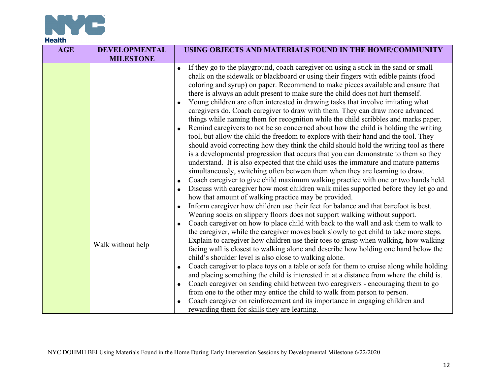

| <b>AGE</b> | <b>DEVELOPMENTAL</b><br><b>MILESTONE</b> | USING OBJECTS AND MATERIALS FOUND IN THE HOME/COMMUNITY                                                                                                                                                                                                                                                                                                                                                                                                                                                                                                                                                                                                                                                                                                                                                                                                                                                                                                                                                                                                                                                                                                                                                                                                                                                                             |
|------------|------------------------------------------|-------------------------------------------------------------------------------------------------------------------------------------------------------------------------------------------------------------------------------------------------------------------------------------------------------------------------------------------------------------------------------------------------------------------------------------------------------------------------------------------------------------------------------------------------------------------------------------------------------------------------------------------------------------------------------------------------------------------------------------------------------------------------------------------------------------------------------------------------------------------------------------------------------------------------------------------------------------------------------------------------------------------------------------------------------------------------------------------------------------------------------------------------------------------------------------------------------------------------------------------------------------------------------------------------------------------------------------|
|            |                                          | • If they go to the playground, coach caregiver on using a stick in the sand or small<br>chalk on the sidewalk or blackboard or using their fingers with edible paints (food<br>coloring and syrup) on paper. Recommend to make pieces available and ensure that<br>there is always an adult present to make sure the child does not hurt themself.<br>Young children are often interested in drawing tasks that involve imitating what<br>caregivers do. Coach caregiver to draw with them. They can draw more advanced<br>things while naming them for recognition while the child scribbles and marks paper.<br>Remind caregivers to not be so concerned about how the child is holding the writing<br>tool, but allow the child the freedom to explore with their hand and the tool. They<br>should avoid correcting how they think the child should hold the writing tool as there<br>is a developmental progression that occurs that you can demonstrate to them so they<br>understand. It is also expected that the child uses the immature and mature patterns<br>simultaneously, switching often between them when they are learning to draw.                                                                                                                                                                              |
|            | Walk without help                        | Coach caregiver to give child maximum walking practice with one or two hands held.<br>$\bullet$<br>Discuss with caregiver how most children walk miles supported before they let go and<br>how that amount of walking practice may be provided.<br>Inform caregiver how children use their feet for balance and that barefoot is best.<br>Wearing socks on slippery floors does not support walking without support.<br>Coach caregiver on how to place child with back to the wall and ask them to walk to<br>the caregiver, while the caregiver moves back slowly to get child to take more steps.<br>Explain to caregiver how children use their toes to grasp when walking, how walking<br>facing wall is closest to walking alone and describe how holding one hand below the<br>child's shoulder level is also close to walking alone.<br>Coach caregiver to place toys on a table or sofa for them to cruise along while holding<br>and placing something the child is interested in at a distance from where the child is.<br>Coach caregiver on sending child between two caregivers - encouraging them to go<br>from one to the other may entice the child to walk from person to person.<br>Coach caregiver on reinforcement and its importance in engaging children and<br>rewarding them for skills they are learning. |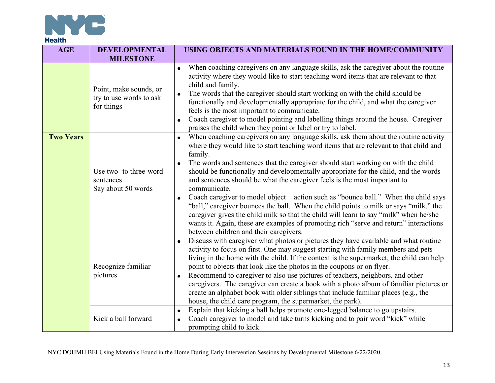

| <b>AGE</b>       | <b>DEVELOPMENTAL</b><br><b>MILESTONE</b>                        | USING OBJECTS AND MATERIALS FOUND IN THE HOME/COMMUNITY                                                                                                                                                                                                                                                                                                                                                                                                                                                                                                                                                                                                                                                                                                                                                                                                                                                                 |
|------------------|-----------------------------------------------------------------|-------------------------------------------------------------------------------------------------------------------------------------------------------------------------------------------------------------------------------------------------------------------------------------------------------------------------------------------------------------------------------------------------------------------------------------------------------------------------------------------------------------------------------------------------------------------------------------------------------------------------------------------------------------------------------------------------------------------------------------------------------------------------------------------------------------------------------------------------------------------------------------------------------------------------|
|                  | Point, make sounds, or<br>try to use words to ask<br>for things | When coaching caregivers on any language skills, ask the caregiver about the routine<br>activity where they would like to start teaching word items that are relevant to that<br>child and family.<br>The words that the caregiver should start working on with the child should be<br>functionally and developmentally appropriate for the child, and what the caregiver<br>feels is the most important to communicate.<br>Coach caregiver to model pointing and labelling things around the house. Caregiver<br>praises the child when they point or label or try to label.                                                                                                                                                                                                                                                                                                                                           |
| <b>Two Years</b> | Use two- to three-word<br>sentences<br>Say about 50 words       | When coaching caregivers on any language skills, ask them about the routine activity<br>$\bullet$<br>where they would like to start teaching word items that are relevant to that child and<br>family.<br>The words and sentences that the caregiver should start working on with the child<br>$\bullet$<br>should be functionally and developmentally appropriate for the child, and the words<br>and sentences should be what the caregiver feels is the most important to<br>communicate.<br>Coach caregiver to model object $+$ action such as "bounce ball." When the child says<br>$\bullet$<br>"ball," caregiver bounces the ball. When the child points to milk or says "milk," the<br>caregiver gives the child milk so that the child will learn to say "milk" when he/she<br>wants it. Again, these are examples of promoting rich "serve and return" interactions<br>between children and their caregivers. |
|                  | Recognize familiar<br>pictures                                  | Discuss with caregiver what photos or pictures they have available and what routine<br>$\bullet$<br>activity to focus on first. One may suggest starting with family members and pets<br>living in the home with the child. If the context is the supermarket, the child can help<br>point to objects that look like the photos in the coupons or on flyer.<br>Recommend to caregiver to also use pictures of teachers, neighbors, and other<br>caregivers. The caregiver can create a book with a photo album of familiar pictures or<br>create an alphabet book with older siblings that include familiar places (e.g., the<br>house, the child care program, the supermarket, the park).                                                                                                                                                                                                                             |
|                  | Kick a ball forward                                             | Explain that kicking a ball helps promote one-legged balance to go upstairs.<br>$\bullet$<br>Coach caregiver to model and take turns kicking and to pair word "kick" while<br>$\bullet$<br>prompting child to kick.                                                                                                                                                                                                                                                                                                                                                                                                                                                                                                                                                                                                                                                                                                     |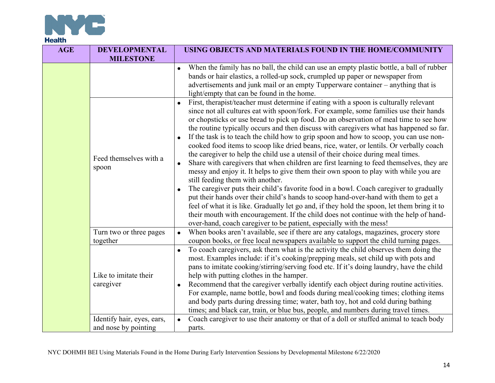

| <b>AGE</b> | <b>DEVELOPMENTAL</b><br><b>MILESTONE</b>           | USING OBJECTS AND MATERIALS FOUND IN THE HOME/COMMUNITY                                                                                                                                                                                                                                                                                                                                                                                                                                                                                                                                                                                                                                                                                                                                                                                                                                                                                                                                                                                                                                                                                                                                                                                                                                                                           |
|------------|----------------------------------------------------|-----------------------------------------------------------------------------------------------------------------------------------------------------------------------------------------------------------------------------------------------------------------------------------------------------------------------------------------------------------------------------------------------------------------------------------------------------------------------------------------------------------------------------------------------------------------------------------------------------------------------------------------------------------------------------------------------------------------------------------------------------------------------------------------------------------------------------------------------------------------------------------------------------------------------------------------------------------------------------------------------------------------------------------------------------------------------------------------------------------------------------------------------------------------------------------------------------------------------------------------------------------------------------------------------------------------------------------|
|            |                                                    | When the family has no ball, the child can use an empty plastic bottle, a ball of rubber<br>bands or hair elastics, a rolled-up sock, crumpled up paper or newspaper from<br>advertisements and junk mail or an empty Tupperware container - anything that is<br>light/empty that can be found in the home.                                                                                                                                                                                                                                                                                                                                                                                                                                                                                                                                                                                                                                                                                                                                                                                                                                                                                                                                                                                                                       |
|            | Feed themselves with a<br>spoon                    | First, therapist/teacher must determine if eating with a spoon is culturally relevant<br>since not all cultures eat with spoon/fork. For example, some families use their hands<br>or chopsticks or use bread to pick up food. Do an observation of meal time to see how<br>the routine typically occurs and then discuss with caregivers what has happened so far.<br>If the task is to teach the child how to grip spoon and how to scoop, you can use non-<br>$\bullet$<br>cooked food items to scoop like dried beans, rice, water, or lentils. Or verbally coach<br>the caregiver to help the child use a utensil of their choice during meal times.<br>Share with caregivers that when children are first learning to feed themselves, they are<br>messy and enjoy it. It helps to give them their own spoon to play with while you are<br>still feeding them with another.<br>The caregiver puts their child's favorite food in a bowl. Coach caregiver to gradually<br>put their hands over their child's hands to scoop hand-over-hand with them to get a<br>feel of what it is like. Gradually let go and, if they hold the spoon, let them bring it to<br>their mouth with encouragement. If the child does not continue with the help of hand-<br>over-hand, coach caregiver to be patient, especially with the mess! |
|            | Turn two or three pages<br>together                | When books aren't available, see if there are any catalogs, magazines, grocery store<br>$\bullet$<br>coupon books, or free local newspapers available to support the child turning pages.                                                                                                                                                                                                                                                                                                                                                                                                                                                                                                                                                                                                                                                                                                                                                                                                                                                                                                                                                                                                                                                                                                                                         |
|            | Like to imitate their<br>caregiver                 | To coach caregivers, ask them what is the activity the child observes them doing the<br>$\bullet$<br>most. Examples include: if it's cooking/prepping meals, set child up with pots and<br>pans to imitate cooking/stirring/serving food etc. If it's doing laundry, have the child<br>help with putting clothes in the hamper.<br>Recommend that the caregiver verbally identify each object during routine activities.<br>$\bullet$<br>For example, name bottle, bowl and foods during meal/cooking times; clothing items<br>and body parts during dressing time; water, bath toy, hot and cold during bathing<br>times; and black car, train, or blue bus, people, and numbers during travel times.                                                                                                                                                                                                                                                                                                                                                                                                                                                                                                                                                                                                                            |
|            | Identify hair, eyes, ears,<br>and nose by pointing | Coach caregiver to use their anatomy or that of a doll or stuffed animal to teach body<br>$\bullet$<br>parts.                                                                                                                                                                                                                                                                                                                                                                                                                                                                                                                                                                                                                                                                                                                                                                                                                                                                                                                                                                                                                                                                                                                                                                                                                     |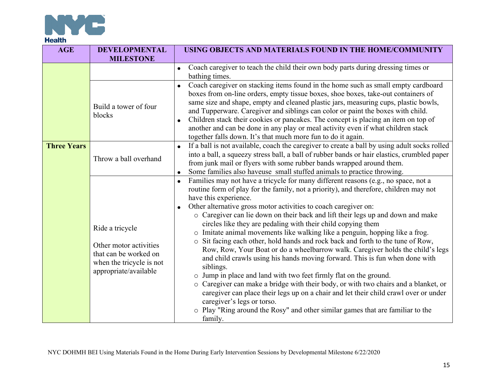

| <b>AGE</b>         | <b>DEVELOPMENTAL</b><br><b>MILESTONE</b>                                                                                | USING OBJECTS AND MATERIALS FOUND IN THE HOME/COMMUNITY                                                                                                                                                                                                                                                                                                                                                                                                                                                                                                                                                                                                                                                                                                                                                                                                                                                                                                                                                                                                                                                                                                    |
|--------------------|-------------------------------------------------------------------------------------------------------------------------|------------------------------------------------------------------------------------------------------------------------------------------------------------------------------------------------------------------------------------------------------------------------------------------------------------------------------------------------------------------------------------------------------------------------------------------------------------------------------------------------------------------------------------------------------------------------------------------------------------------------------------------------------------------------------------------------------------------------------------------------------------------------------------------------------------------------------------------------------------------------------------------------------------------------------------------------------------------------------------------------------------------------------------------------------------------------------------------------------------------------------------------------------------|
|                    |                                                                                                                         | Coach caregiver to teach the child their own body parts during dressing times or<br>bathing times.                                                                                                                                                                                                                                                                                                                                                                                                                                                                                                                                                                                                                                                                                                                                                                                                                                                                                                                                                                                                                                                         |
|                    | Build a tower of four<br>blocks                                                                                         | Coach caregiver on stacking items found in the home such as small empty cardboard<br>boxes from on-line orders, empty tissue boxes, shoe boxes, take-out containers of<br>same size and shape, empty and cleaned plastic jars, measuring cups, plastic bowls,<br>and Tupperware. Caregiver and siblings can color or paint the boxes with child.<br>Children stack their cookies or pancakes. The concept is placing an item on top of<br>another and can be done in any play or meal activity even if what children stack<br>together falls down. It's that much more fun to do it again.                                                                                                                                                                                                                                                                                                                                                                                                                                                                                                                                                                 |
| <b>Three Years</b> | Throw a ball overhand                                                                                                   | If a ball is not available, coach the caregiver to create a ball by using adult socks rolled<br>$\bullet$<br>into a ball, a squeezy stress ball, a ball of rubber bands or hair elastics, crumbled paper<br>from junk mail or flyers with some rubber bands wrapped around them.<br>Some families also haveuse small stuffed animals to practice throwing.                                                                                                                                                                                                                                                                                                                                                                                                                                                                                                                                                                                                                                                                                                                                                                                                 |
|                    | Ride a tricycle<br>Other motor activities<br>that can be worked on<br>when the tricycle is not<br>appropriate/available | Families may not have a tricycle for many different reasons (e.g., no space, not a<br>routine form of play for the family, not a priority), and therefore, children may not<br>have this experience.<br>Other alternative gross motor activities to coach caregiver on:<br>o Caregiver can lie down on their back and lift their legs up and down and make<br>circles like they are pedaling with their child copying them<br>o Imitate animal movements like walking like a penguin, hopping like a frog.<br>o Sit facing each other, hold hands and rock back and forth to the tune of Row,<br>Row, Row, Your Boat or do a wheelbarrow walk. Caregiver holds the child's legs<br>and child crawls using his hands moving forward. This is fun when done with<br>siblings.<br>o Jump in place and land with two feet firmly flat on the ground.<br>o Caregiver can make a bridge with their body, or with two chairs and a blanket, or<br>caregiver can place their legs up on a chair and let their child crawl over or under<br>caregiver's legs or torso.<br>o Play "Ring around the Rosy" and other similar games that are familiar to the<br>family. |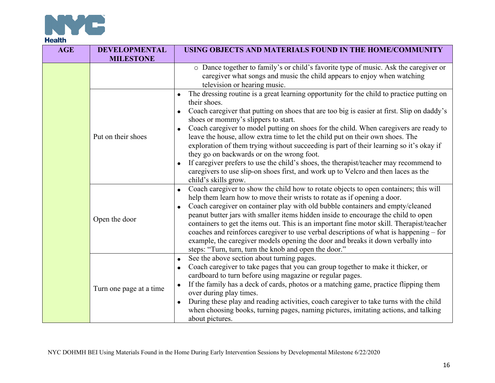

| <b>AGE</b> | <b>DEVELOPMENTAL</b><br><b>MILESTONE</b> | USING OBJECTS AND MATERIALS FOUND IN THE HOME/COMMUNITY                                                                                                                                                                                                                                                                                                                                                                                                                                                                                                                                                                                                                                                                                                                                             |
|------------|------------------------------------------|-----------------------------------------------------------------------------------------------------------------------------------------------------------------------------------------------------------------------------------------------------------------------------------------------------------------------------------------------------------------------------------------------------------------------------------------------------------------------------------------------------------------------------------------------------------------------------------------------------------------------------------------------------------------------------------------------------------------------------------------------------------------------------------------------------|
|            |                                          | o Dance together to family's or child's favorite type of music. Ask the caregiver or<br>caregiver what songs and music the child appears to enjoy when watching<br>television or hearing music.                                                                                                                                                                                                                                                                                                                                                                                                                                                                                                                                                                                                     |
|            | Put on their shoes                       | The dressing routine is a great learning opportunity for the child to practice putting on<br>their shoes.<br>Coach caregiver that putting on shoes that are too big is easier at first. Slip on daddy's<br>$\bullet$<br>shoes or mommy's slippers to start.<br>Coach caregiver to model putting on shoes for the child. When caregivers are ready to<br>leave the house, allow extra time to let the child put on their own shoes. The<br>exploration of them trying without succeeding is part of their learning so it's okay if<br>they go on backwards or on the wrong foot.<br>If caregiver prefers to use the child's shoes, the therapist/teacher may recommend to<br>$\bullet$<br>caregivers to use slip-on shoes first, and work up to Velcro and then laces as the<br>child's skills grow. |
|            | Open the door                            | Coach caregiver to show the child how to rotate objects to open containers; this will<br>help them learn how to move their wrists to rotate as if opening a door.<br>Coach caregiver on container play with old bubble containers and empty/cleaned<br>$\bullet$<br>peanut butter jars with smaller items hidden inside to encourage the child to open<br>containers to get the items out. This is an important fine motor skill. Therapist/teacher<br>coaches and reinforces caregiver to use verbal descriptions of what is happening – for<br>example, the caregiver models opening the door and breaks it down verbally into<br>steps: "Turn, turn, turn the knob and open the door."                                                                                                           |
|            | Turn one page at a time                  | See the above section about turning pages.<br>$\bullet$<br>Coach caregiver to take pages that you can group together to make it thicker, or<br>cardboard to turn before using magazine or regular pages.<br>If the family has a deck of cards, photos or a matching game, practice flipping them<br>over during play times.<br>During these play and reading activities, coach caregiver to take turns with the child<br>$\bullet$<br>when choosing books, turning pages, naming pictures, imitating actions, and talking<br>about pictures.                                                                                                                                                                                                                                                        |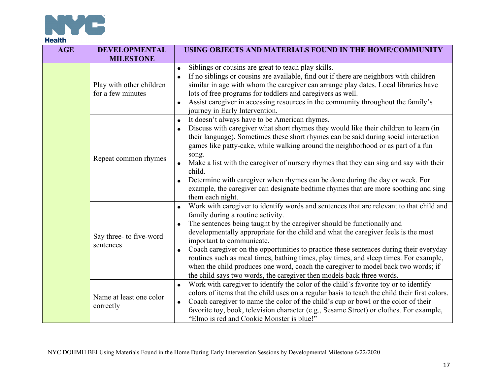

| <b>AGE</b> | <b>DEVELOPMENTAL</b><br><b>MILESTONE</b>      | USING OBJECTS AND MATERIALS FOUND IN THE HOME/COMMUNITY                                                                                                                                                                                                                                                                                                                                                                                                                                                                                                                                                                                                                                 |
|------------|-----------------------------------------------|-----------------------------------------------------------------------------------------------------------------------------------------------------------------------------------------------------------------------------------------------------------------------------------------------------------------------------------------------------------------------------------------------------------------------------------------------------------------------------------------------------------------------------------------------------------------------------------------------------------------------------------------------------------------------------------------|
|            | Play with other children<br>for a few minutes | Siblings or cousins are great to teach play skills.<br>$\bullet$<br>If no siblings or cousins are available, find out if there are neighbors with children<br>similar in age with whom the caregiver can arrange play dates. Local libraries have<br>lots of free programs for toddlers and caregivers as well.<br>Assist caregiver in accessing resources in the community throughout the family's<br>journey in Early Intervention.                                                                                                                                                                                                                                                   |
|            | Repeat common rhymes                          | It doesn't always have to be American rhymes.<br>$\bullet$<br>Discuss with caregiver what short rhymes they would like their children to learn (in<br>their language). Sometimes these short rhymes can be said during social interaction<br>games like patty-cake, while walking around the neighborhood or as part of a fun<br>song.<br>Make a list with the caregiver of nursery rhymes that they can sing and say with their<br>child.<br>Determine with caregiver when rhymes can be done during the day or week. For<br>example, the caregiver can designate bedtime rhymes that are more soothing and sing<br>them each night.                                                   |
|            | Say three- to five-word<br>sentences          | Work with caregiver to identify words and sentences that are relevant to that child and<br>$\bullet$<br>family during a routine activity.<br>The sentences being taught by the caregiver should be functionally and<br>developmentally appropriate for the child and what the caregiver feels is the most<br>important to communicate.<br>Coach caregiver on the opportunities to practice these sentences during their everyday<br>routines such as meal times, bathing times, play times, and sleep times. For example,<br>when the child produces one word, coach the caregiver to model back two words; if<br>the child says two words, the caregiver then models back three words. |
|            | Name at least one color<br>correctly          | Work with caregiver to identify the color of the child's favorite toy or to identify<br>$\bullet$<br>colors of items that the child uses on a regular basis to teach the child their first colors.<br>Coach caregiver to name the color of the child's cup or bowl or the color of their<br>$\bullet$<br>favorite toy, book, television character (e.g., Sesame Street) or clothes. For example,<br>"Elmo is red and Cookie Monster is blue!"                                                                                                                                                                                                                                           |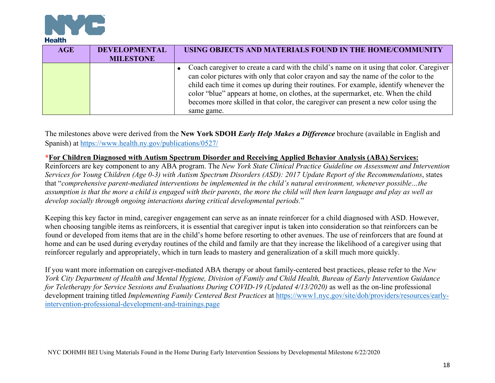

| <b>AGE</b> | <b>DEVELOPMENTAL</b><br><b>MILESTONE</b> | USING OBJECTS AND MATERIALS FOUND IN THE HOME/COMMUNITY                                                                                                                                                                                                                                                                                                                                                                                                            |
|------------|------------------------------------------|--------------------------------------------------------------------------------------------------------------------------------------------------------------------------------------------------------------------------------------------------------------------------------------------------------------------------------------------------------------------------------------------------------------------------------------------------------------------|
|            |                                          | Coach caregiver to create a card with the child's name on it using that color. Caregiver<br>can color pictures with only that color crayon and say the name of the color to the<br>child each time it comes up during their routines. For example, identify whenever the<br>color "blue" appears at home, on clothes, at the supermarket, etc. When the child<br>becomes more skilled in that color, the caregiver can present a new color using the<br>same game. |

The milestones above were derived from the **New York SDOH** *Early Help Makes a Difference* brochure (available in English and Spanish) at https://www.health.ny.gov/publications/0527/

#### **\*For Children Diagnosed with Autism Spectrum Disorder and Receiving Applied Behavior Analysis (ABA) Services:**

Reinforcers are key component to any ABA program. The *New York State Clinical Practice Guideline on Assessment and Intervention Services for Young Children (Age 0-3) with Autism Spectrum Disorders (ASD): 2017 Update Report of the Recommendations*, states that "*comprehensive parent-mediated interventions be implemented in the child's natural environment, whenever possible…the assumption is that the more a child is engaged with their parents, the more the child will then learn language and play as well as develop socially through ongoing interactions during critical developmental periods.*"

Keeping this key factor in mind, caregiver engagement can serve as an innate reinforcer for a child diagnosed with ASD. However, when choosing tangible items as reinforcers, it is essential that caregiver input is taken into consideration so that reinforcers can be found or developed from items that are in the child's home before resorting to other avenues. The use of reinforcers that are found at home and can be used during everyday routines of the child and family are that they increase the likelihood of a caregiver using that reinforcer regularly and appropriately, which in turn leads to mastery and generalization of a skill much more quickly.

If you want more information on caregiver-mediated ABA therapy or about family-centered best practices, please refer to the *New York City Department of Health and Mental Hygiene, Division of Family and Child Health, Bureau of Early Intervention Guidance for Teletherapy for Service Sessions and Evaluations During COVID-19 (Updated 4/13/2020)* as well as the on-line professional development training titled *Implementing Family Centered Best Practices* at https://www1.nyc.gov/site/doh/providers/resources/earlyintervention-professional-development-and-trainings.page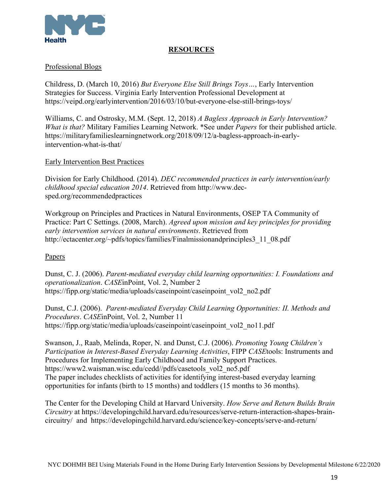

## **RESOURCES**

## Professional Blogs

Childress, D. (March 10, 2016) *But Everyone Else Still Brings Toys…*, Early Intervention Strategies for Success. Virginia Early Intervention Professional Development at https://veipd.org/earlyintervention/2016/03/10/but-everyone-else-still-brings-toys/

Williams, C. and Ostrosky, M.M. (Sept. 12, 2018) *A Bagless Approach in Early Intervention? What is that?* Military Families Learning Network. \*See under *Papers* for their published article. https://militaryfamilieslearningnetwork.org/2018/09/12/a-bagless-approach-in-earlyintervention-what-is-that/

#### Early Intervention Best Practices

Division for Early Childhood. (2014). *DEC recommended practices in early intervention/early childhood special education 2014*. Retrieved from http://www.decsped.org/recommendedpractices

Workgroup on Principles and Practices in Natural Environments, OSEP TA Community of Practice: Part C Settings. (2008, March). *Agreed upon mission and key principles for providing early intervention services in natural environments*. Retrieved from http://ectacenter.org/~pdfs/topics/families/Finalmissionandprinciples3\_11\_08.pdf

#### Papers

Dunst, C. J. (2006). *Parent-mediated everyday child learning opportunities: I. Foundations and operationalization*. *CASE*inPoint, Vol. 2, Number 2 https://fipp.org/static/media/uploads/caseinpoint/caseinpoint\_vol2\_no2.pdf

Dunst, C.J. (2006). *Parent-mediated Everyday Child Learning Opportunities: II. Methods and Procedures*. *CASE*inPoint, Vol. 2, Number 11 https://fipp.org/static/media/uploads/caseinpoint/caseinpoint\_vol2\_no11.pdf

Swanson, J., Raab, Melinda, Roper, N. and Dunst, C.J. (2006). *Promoting Young Children's Participation in Interest-Based Everyday Learning Activities*, FIPP *CASE*tools: Instruments and Procedures for Implementing Early Childhood and Family Support Practices. https://www2.waisman.wisc.edu/cedd//pdfs/casetools\_vol2\_no5.pdf The paper includes checklists of activities for identifying interest-based everyday learning opportunities for infants (birth to 15 months) and toddlers (15 months to 36 months).

The Center for the Developing Child at Harvard University. *How Serve and Return Builds Brain Circuitry* at https://developingchild.harvard.edu/resources/serve-return-interaction-shapes-braincircuitry/ and https://developingchild.harvard.edu/science/key-concepts/serve-and-return/